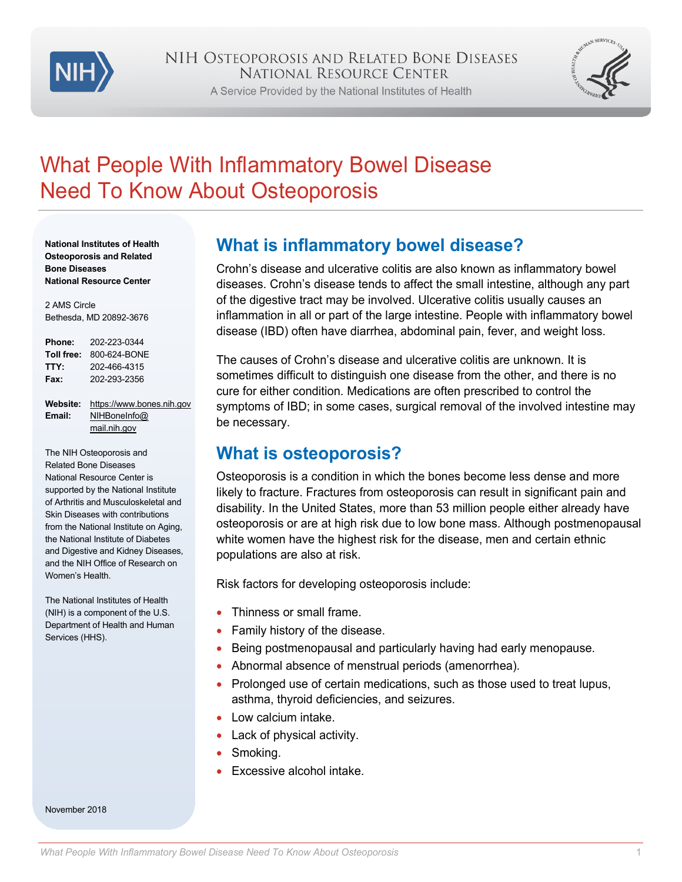

A Service Provided by the National Institutes of Health



# What People With Inflammatory Bowel Disease Need To Know About Osteoporosis

**National Institutes of Health Osteoporosis and Related Bone Diseases National Resource Center**

2 AMS Circle Bethesda, MD 20892-3676

| <b>Phone:</b> | 202-223-0344 |
|---------------|--------------|
| Toll free:    | 800-624-BONE |
| TTY:          | 202-466-4315 |
| Fax:          | 202-293-2356 |
|               |              |

Website: [https://www.bones.nih.gov](https://www.bones.nih.gov/) **Email:** [NIHBoneInfo@](mailto:NIHBoneInfo@mail.nih.gov) [mail.nih.gov](mailto:NIHBoneInfo@mail.nih.gov)

The NIH Osteoporosis and Related Bone Diseases National Resource Center is supported by the National Institute of Arthritis and Musculoskeletal and Skin Diseases with contributions from the National Institute on Aging, the National Institute of Diabetes and Digestive and Kidney Diseases, and the NIH Office of Research on Women's Health.

The National Institutes of Health (NIH) is a component of the U.S. Department of Health and Human Services (HHS).

## **What is inflammatory bowel disease?**

Crohn's disease and ulcerative colitis are also known as inflammatory bowel diseases. Crohn's disease tends to affect the small intestine, although any part of the digestive tract may be involved. Ulcerative colitis usually causes an inflammation in all or part of the large intestine. People with inflammatory bowel disease (IBD) often have diarrhea, abdominal pain, fever, and weight loss.

The causes of Crohn's disease and ulcerative colitis are unknown. It is sometimes difficult to distinguish one disease from the other, and there is no cure for either condition. Medications are often prescribed to control the symptoms of IBD; in some cases, surgical removal of the involved intestine may be necessary.

#### **What is osteoporosis?**

Osteoporosis is a condition in which the bones become less dense and more likely to fracture. Fractures from osteoporosis can result in significant pain and disability. In the United States, more than 53 million people either already have osteoporosis or are at high risk due to low bone mass. Although postmenopausal white women have the highest risk for the disease, men and certain ethnic populations are also at risk.

Risk factors for developing osteoporosis include:

- Thinness or small frame
- Family history of the disease.
- Being postmenopausal and particularly having had early menopause.
- Abnormal absence of menstrual periods (amenorrhea).
- Prolonged use of certain medications, such as those used to treat lupus, asthma, thyroid deficiencies, and seizures.
- Low calcium intake.
- Lack of physical activity.
- Smoking.
- Excessive alcohol intake.

November 2018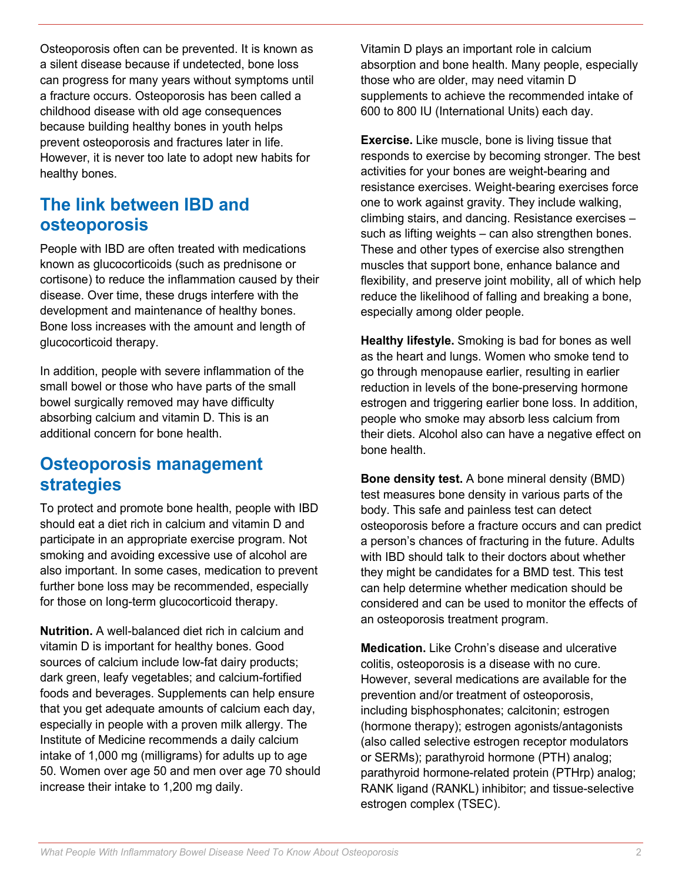Osteoporosis often can be prevented. It is known as a silent disease because if undetected, bone loss can progress for many years without symptoms until a fracture occurs. Osteoporosis has been called a childhood disease with old age consequences because building healthy bones in youth helps prevent osteoporosis and fractures later in life. However, it is never too late to adopt new habits for healthy bones.

### **The link between IBD and osteoporosis**

People with IBD are often treated with medications known as glucocorticoids (such as prednisone or cortisone) to reduce the inflammation caused by their disease. Over time, these drugs interfere with the development and maintenance of healthy bones. Bone loss increases with the amount and length of glucocorticoid therapy.

In addition, people with severe inflammation of the small bowel or those who have parts of the small bowel surgically removed may have difficulty absorbing calcium and vitamin D. This is an additional concern for bone health.

#### **Osteoporosis management strategies**

To protect and promote bone health, people with IBD should eat a diet rich in calcium and vitamin D and participate in an appropriate exercise program. Not smoking and avoiding excessive use of alcohol are also important. In some cases, medication to prevent further bone loss may be recommended, especially for those on long-term glucocorticoid therapy.

**Nutrition.** A well-balanced diet rich in calcium and vitamin D is important for healthy bones. Good sources of calcium include low-fat dairy products; dark green, leafy vegetables; and calcium-fortified foods and beverages. Supplements can help ensure that you get adequate amounts of calcium each day, especially in people with a proven milk allergy. The Institute of Medicine recommends a daily calcium intake of 1,000 mg (milligrams) for adults up to age 50. Women over age 50 and men over age 70 should increase their intake to 1,200 mg daily.

Vitamin D plays an important role in calcium absorption and bone health. Many people, especially those who are older, may need vitamin D supplements to achieve the recommended intake of 600 to 800 IU (International Units) each day.

**Exercise.** Like muscle, bone is living tissue that responds to exercise by becoming stronger. The best activities for your bones are weight-bearing and resistance exercises. Weight-bearing exercises force one to work against gravity. They include walking, climbing stairs, and dancing. Resistance exercises – such as lifting weights – can also strengthen bones. These and other types of exercise also strengthen muscles that support bone, enhance balance and flexibility, and preserve joint mobility, all of which help reduce the likelihood of falling and breaking a bone, especially among older people.

**Healthy lifestyle.** Smoking is bad for bones as well as the heart and lungs. Women who smoke tend to go through menopause earlier, resulting in earlier reduction in levels of the bone-preserving hormone estrogen and triggering earlier bone loss. In addition, people who smoke may absorb less calcium from their diets. Alcohol also can have a negative effect on bone health.

**Bone density test.** A bone mineral density (BMD) test measures bone density in various parts of the body. This safe and painless test can detect osteoporosis before a fracture occurs and can predict a person's chances of fracturing in the future. Adults with IBD should talk to their doctors about whether they might be candidates for a BMD test. This test can help determine whether medication should be considered and can be used to monitor the effects of an osteoporosis treatment program.

**Medication.** Like Crohn's disease and ulcerative colitis, osteoporosis is a disease with no cure. However, several medications are available for the prevention and/or treatment of osteoporosis, including bisphosphonates; calcitonin; estrogen (hormone therapy); estrogen agonists/antagonists (also called selective estrogen receptor modulators or SERMs); parathyroid hormone (PTH) analog; parathyroid hormone-related protein (PTHrp) analog; RANK ligand (RANKL) inhibitor; and tissue-selective estrogen complex (TSEC).